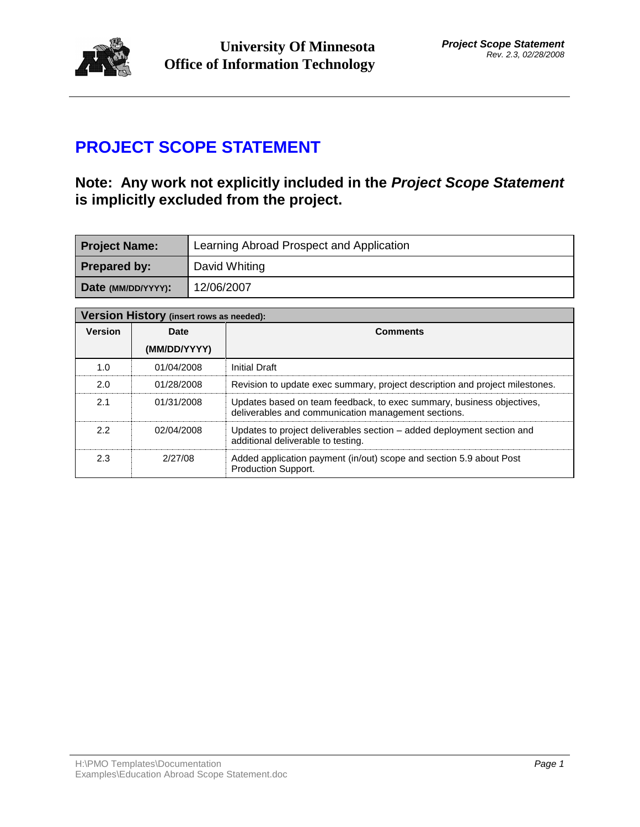

# **PROJECT SCOPE STATEMENT**

## **Note: Any work not explicitly included in the** *Project Scope Statement* **is implicitly excluded from the project.**

| <b>Project Name:</b> | Learning Abroad Prospect and Application |
|----------------------|------------------------------------------|
| <b>Prepared by:</b>  | David Whiting                            |
| Date (MM/DD/YYYY):   | 12/06/2007                               |

| Version History (insert rows as needed): |              |                                                                                                                              |  |  |  |
|------------------------------------------|--------------|------------------------------------------------------------------------------------------------------------------------------|--|--|--|
| <b>Version</b>                           | Date         | <b>Comments</b>                                                                                                              |  |  |  |
|                                          | (MM/DD/YYYY) |                                                                                                                              |  |  |  |
| 1.0                                      | 01/04/2008   | Initial Draft                                                                                                                |  |  |  |
| 2.0                                      | 01/28/2008   | Revision to update exec summary, project description and project milestones.                                                 |  |  |  |
| 2.1                                      | 01/31/2008   | Updates based on team feedback, to exec summary, business objectives,<br>deliverables and communication management sections. |  |  |  |
| 2.2                                      | 02/04/2008   | Updates to project deliverables section – added deployment section and<br>additional deliverable to testing.                 |  |  |  |
| 2.3                                      | 2/27/08      | Added application payment (in/out) scope and section 5.9 about Post<br><b>Production Support.</b>                            |  |  |  |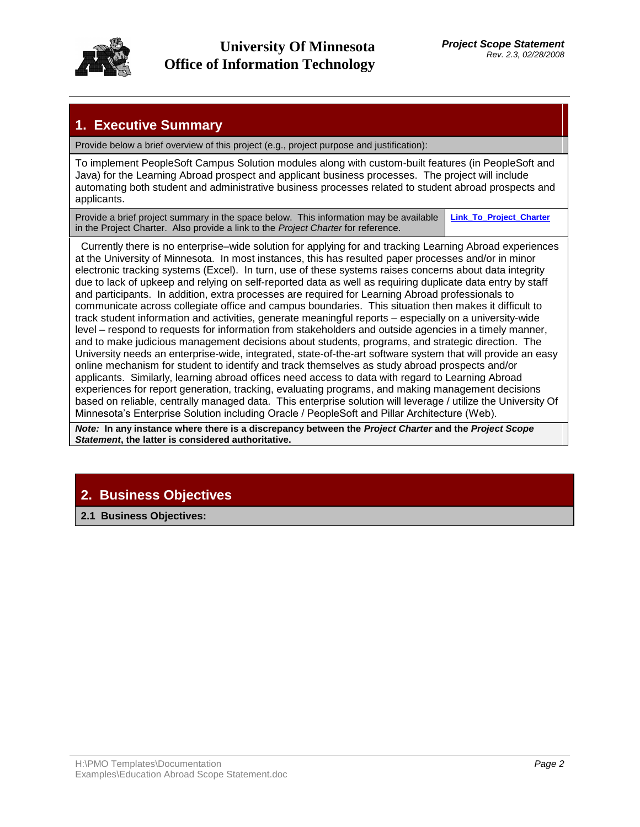

## **1. Executive Summary**

Provide below a brief overview of this project (e.g., project purpose and justification):

To implement PeopleSoft Campus Solution modules along with custom-built features (in PeopleSoft and Java) for the Learning Abroad prospect and applicant business processes. The project will include automating both student and administrative business processes related to student abroad prospects and applicants.

Provide a brief project summary in the space below. This information may be available in the Project Charter. Also provide a link to the *Project Charter* for reference. **Link\_To\_Project\_Charter**

 Currently there is no enterprise–wide solution for applying for and tracking Learning Abroad experiences at the University of Minnesota. In most instances, this has resulted paper processes and/or in minor electronic tracking systems (Excel). In turn, use of these systems raises concerns about data integrity due to lack of upkeep and relying on self-reported data as well as requiring duplicate data entry by staff and participants. In addition, extra processes are required for Learning Abroad professionals to communicate across collegiate office and campus boundaries. This situation then makes it difficult to track student information and activities, generate meaningful reports – especially on a university-wide level – respond to requests for information from stakeholders and outside agencies in a timely manner, and to make judicious management decisions about students, programs, and strategic direction. The University needs an enterprise-wide, integrated, state-of-the-art software system that will provide an easy online mechanism for student to identify and track themselves as study abroad prospects and/or applicants. Similarly, learning abroad offices need access to data with regard to Learning Abroad experiences for report generation, tracking, evaluating programs, and making management decisions based on reliable, centrally managed data. This enterprise solution will leverage / utilize the University Of Minnesota's Enterprise Solution including Oracle / PeopleSoft and Pillar Architecture (Web).

*Note:* **In any instance where there is a discrepancy between the** *Project Charter* **and the** *Project Scope Statement***, the latter is considered authoritative.**

# **2. Business Objectives**

**2.1 Business Objectives:**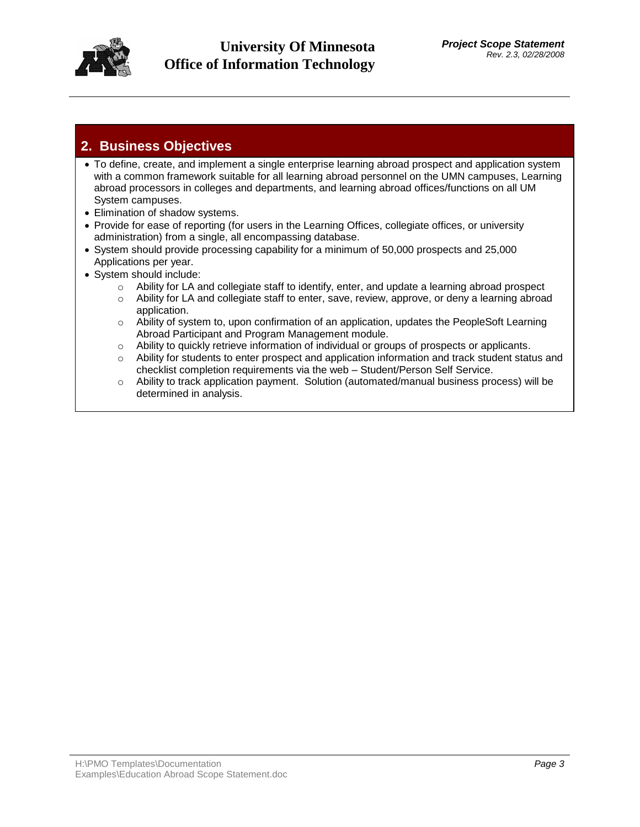

## **2. Business Objectives**

- To define, create, and implement a single enterprise learning abroad prospect and application system with a common framework suitable for all learning abroad personnel on the UMN campuses, Learning abroad processors in colleges and departments, and learning abroad offices/functions on all UM System campuses.
- Elimination of shadow systems.
- Provide for ease of reporting (for users in the Learning Offices, collegiate offices, or university administration) from a single, all encompassing database.
- System should provide processing capability for a minimum of 50,000 prospects and 25,000 Applications per year.
- System should include:
	- $\circ$  Ability for LA and collegiate staff to identify, enter, and update a learning abroad prospect
	- o Ability for LA and collegiate staff to enter, save, review, approve, or deny a learning abroad application.
	- $\circ$  Ability of system to, upon confirmation of an application, updates the PeopleSoft Learning Abroad Participant and Program Management module.
	- $\circ$  Ability to quickly retrieve information of individual or groups of prospects or applicants.
	- $\circ$  Ability for students to enter prospect and application information and track student status and checklist completion requirements via the web – Student/Person Self Service.
	- o Ability to track application payment. Solution (automated/manual business process) will be determined in analysis.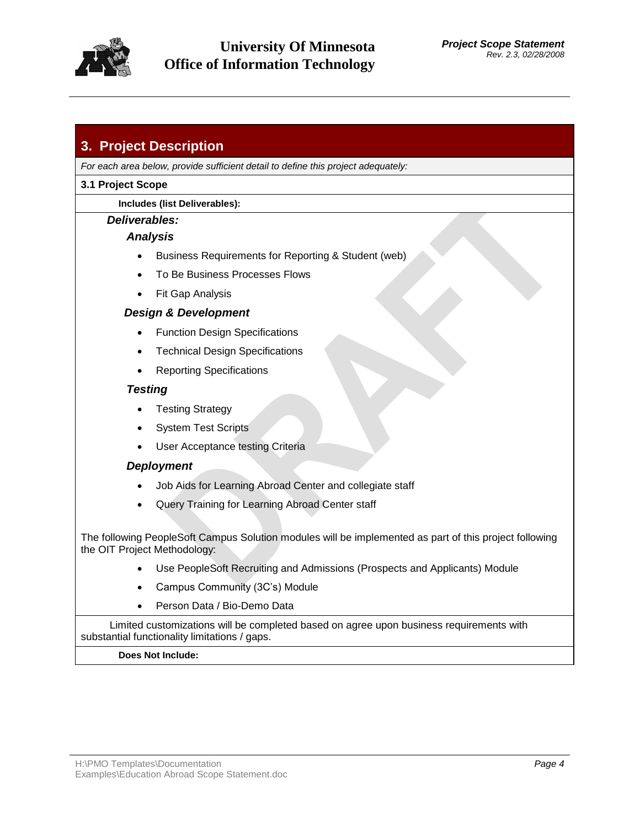

## **3. Project Description**

*For each area below, provide sufficient detail to define this project adequately:*

### **3.1 Project Scope**

### **Includes (list Deliverables):**

### *Deliverables:*

## *Analysis*

- Business Requirements for Reporting & Student (web)
- To Be Business Processes Flows
- Fit Gap Analysis

## *Design & Development*

- Function Design Specifications
- Technical Design Specifications
- Reporting Specifications

## *Testing*

- Testing Strategy
- System Test Scripts
- User Acceptance testing Criteria

## *Deployment*

- Job Aids for Learning Abroad Center and collegiate staff
- Query Training for Learning Abroad Center staff

The following PeopleSoft Campus Solution modules will be implemented as part of this project following the OIT Project Methodology:

- Use PeopleSoft Recruiting and Admissions (Prospects and Applicants) Module
- Campus Community (3C's) Module
- Person Data / Bio-Demo Data

Limited customizations will be completed based on agree upon business requirements with substantial functionality limitations / gaps.

### **Does Not Include:**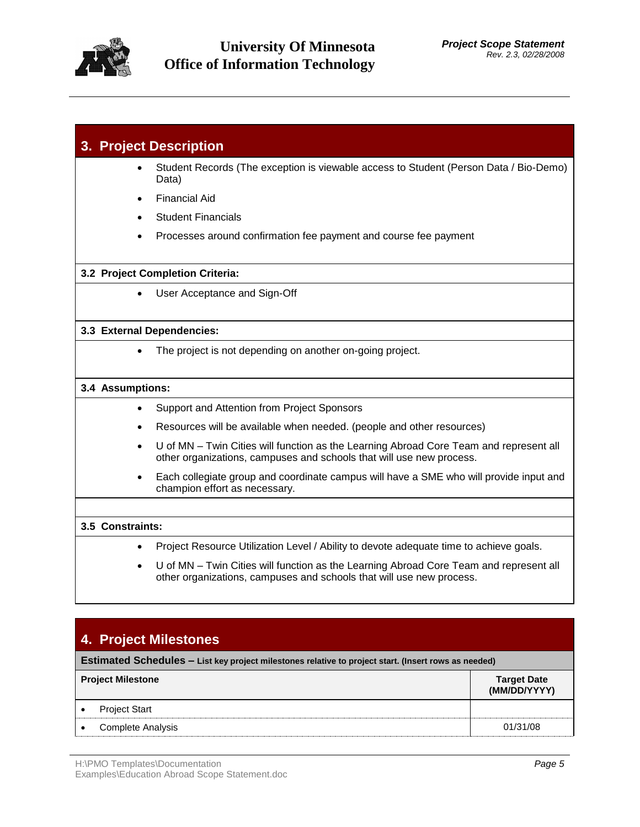

|                  |                  | 3. Project Description                                                                                                                                         |
|------------------|------------------|----------------------------------------------------------------------------------------------------------------------------------------------------------------|
|                  |                  | Student Records (The exception is viewable access to Student (Person Data / Bio-Demo)<br>Data)                                                                 |
|                  | $\bullet$        | <b>Financial Aid</b>                                                                                                                                           |
|                  |                  | <b>Student Financials</b>                                                                                                                                      |
|                  |                  | Processes around confirmation fee payment and course fee payment                                                                                               |
|                  |                  | 3.2 Project Completion Criteria:                                                                                                                               |
|                  |                  | User Acceptance and Sign-Off                                                                                                                                   |
|                  |                  | 3.3 External Dependencies:                                                                                                                                     |
|                  |                  | The project is not depending on another on-going project.                                                                                                      |
| 3.4 Assumptions: |                  |                                                                                                                                                                |
|                  | $\bullet$        | Support and Attention from Project Sponsors                                                                                                                    |
|                  |                  | Resources will be available when needed. (people and other resources)                                                                                          |
|                  | $\bullet$        | U of MN - Twin Cities will function as the Learning Abroad Core Team and represent all<br>other organizations, campuses and schools that will use new process. |
|                  |                  | Each collegiate group and coordinate campus will have a SME who will provide input and<br>champion effort as necessary.                                        |
|                  |                  |                                                                                                                                                                |
|                  | 3.5 Constraints: |                                                                                                                                                                |
|                  |                  | Project Resource Utilization Level / Ability to devote adequate time to achieve goals.                                                                         |
|                  |                  | U of MN - Twin Cities will function as the Learning Abroad Core Team and represent all                                                                         |

## **4. Project Milestones**

**Estimated Schedules – List key project milestones relative to project start. (Insert rows as needed)**

| <b>Project Milestone</b> |                          | <b>Target Date</b><br>(MM/DD/YYYY) |
|--------------------------|--------------------------|------------------------------------|
|                          | <b>Project Start</b>     |                                    |
|                          | <b>Complete Analysis</b> | 01/31/08                           |

other organizations, campuses and schools that will use new process.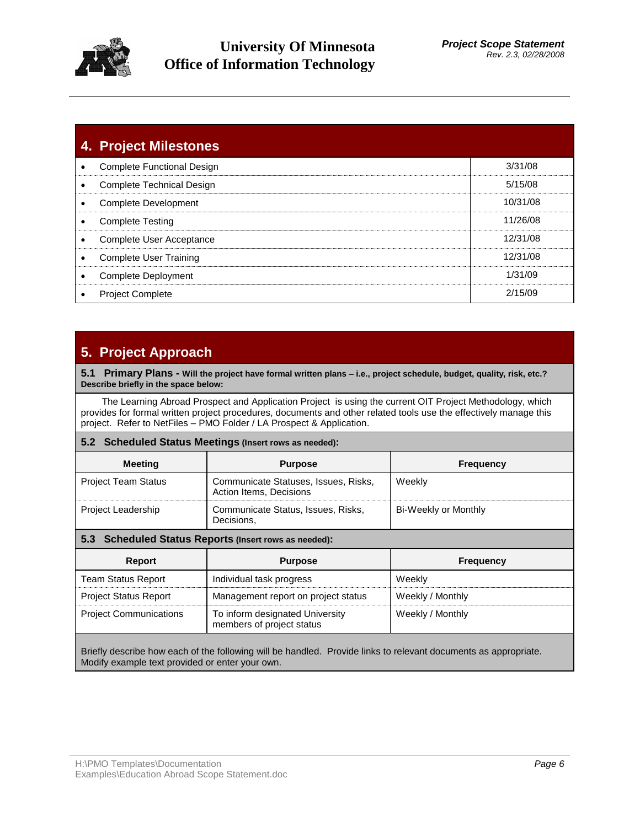

## **University Of Minnesota Office of Information Technology**

|   | 4. Project Milestones             |          |
|---|-----------------------------------|----------|
|   | <b>Complete Functional Design</b> | 3/31/08  |
|   | Complete Technical Design         | 5/15/08  |
|   | Complete Development              | 10/31/08 |
| ٠ | <b>Complete Testing</b>           | 11/26/08 |
| ٠ | Complete User Acceptance          | 12/31/08 |
| ٠ | Complete User Training            | 12/31/08 |
| ٠ | Complete Deployment               | 1/31/09  |
|   | <b>Project Complete</b>           | 2/15/09  |

## **5. Project Approach**

**5.1 Primary Plans - Will the project have formal written plans – i.e., project schedule, budget, quality, risk, etc.? Describe briefly in the space below:**

 The Learning Abroad Prospect and Application Project is using the current OIT Project Methodology, which provides for formal written project procedures, documents and other related tools use the effectively manage this project. Refer to NetFiles – PMO Folder / LA Prospect & Application.

### **5.2 Scheduled Status Meetings (Insert rows as needed):**

| <b>Meeting</b>             | <b>Purpose</b>                                                  | <b>Frequency</b>     |
|----------------------------|-----------------------------------------------------------------|----------------------|
| <b>Project Team Status</b> | Communicate Statuses, Issues, Risks,<br>Action Items, Decisions | Weekly               |
| <b>Project Leadership</b>  | Communicate Status, Issues, Risks,<br>Decisions.                | Bi-Weekly or Monthly |

### **5.3 Scheduled Status Reports (Insert rows as needed):**

| Report                        | <b>Purpose</b>                                               | <b>Frequency</b> |
|-------------------------------|--------------------------------------------------------------|------------------|
| <b>Team Status Report</b>     | Individual task progress                                     | Weekly           |
| <b>Project Status Report</b>  | Management report on project status                          | Weekly / Monthly |
| <b>Project Communications</b> | To inform designated University<br>members of project status | Weekly / Monthly |

Briefly describe how each of the following will be handled. Provide links to relevant documents as appropriate. Modify example text provided or enter your own.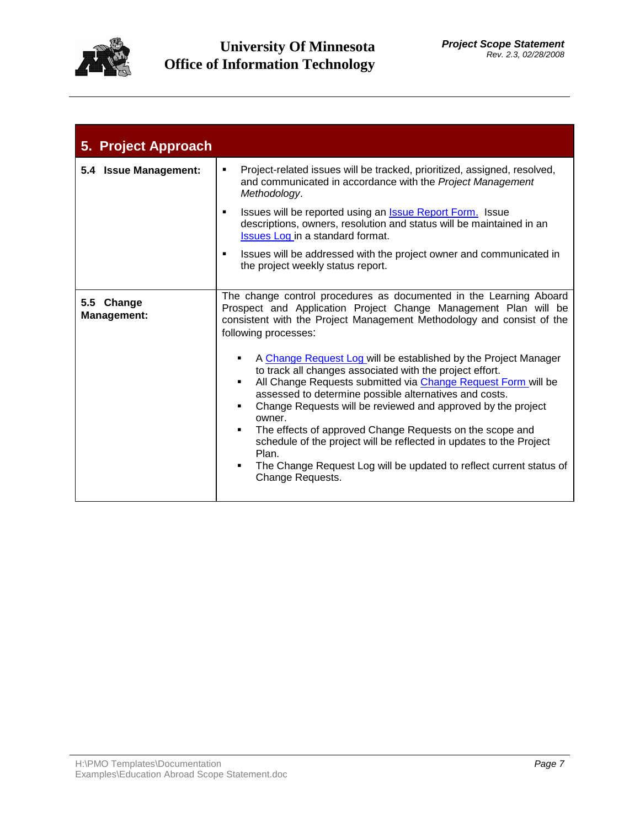

| 5. Project Approach              |                                                                                                                                                                                                                                                                                                                                                                                                                                                                                                                                                                         |  |  |  |  |
|----------------------------------|-------------------------------------------------------------------------------------------------------------------------------------------------------------------------------------------------------------------------------------------------------------------------------------------------------------------------------------------------------------------------------------------------------------------------------------------------------------------------------------------------------------------------------------------------------------------------|--|--|--|--|
| 5.4 Issue Management:            | Project-related issues will be tracked, prioritized, assigned, resolved,<br>٠<br>and communicated in accordance with the Project Management<br>Methodology.                                                                                                                                                                                                                                                                                                                                                                                                             |  |  |  |  |
|                                  | Issues will be reported using an <b>Issue Report Form.</b> Issue<br>$\blacksquare$<br>descriptions, owners, resolution and status will be maintained in an<br><b>Issues Log in a standard format.</b>                                                                                                                                                                                                                                                                                                                                                                   |  |  |  |  |
|                                  | Issues will be addressed with the project owner and communicated in<br>$\blacksquare$<br>the project weekly status report.                                                                                                                                                                                                                                                                                                                                                                                                                                              |  |  |  |  |
| 5.5 Change<br><b>Management:</b> | The change control procedures as documented in the Learning Aboard<br>Prospect and Application Project Change Management Plan will be<br>consistent with the Project Management Methodology and consist of the<br>following processes:                                                                                                                                                                                                                                                                                                                                  |  |  |  |  |
|                                  | A Change Request Log will be established by the Project Manager<br>to track all changes associated with the project effort.<br>All Change Requests submitted via Change Request Form will be<br>assessed to determine possible alternatives and costs.<br>Change Requests will be reviewed and approved by the project<br>owner.<br>The effects of approved Change Requests on the scope and<br>schedule of the project will be reflected in updates to the Project<br>Plan.<br>The Change Request Log will be updated to reflect current status of<br>Change Requests. |  |  |  |  |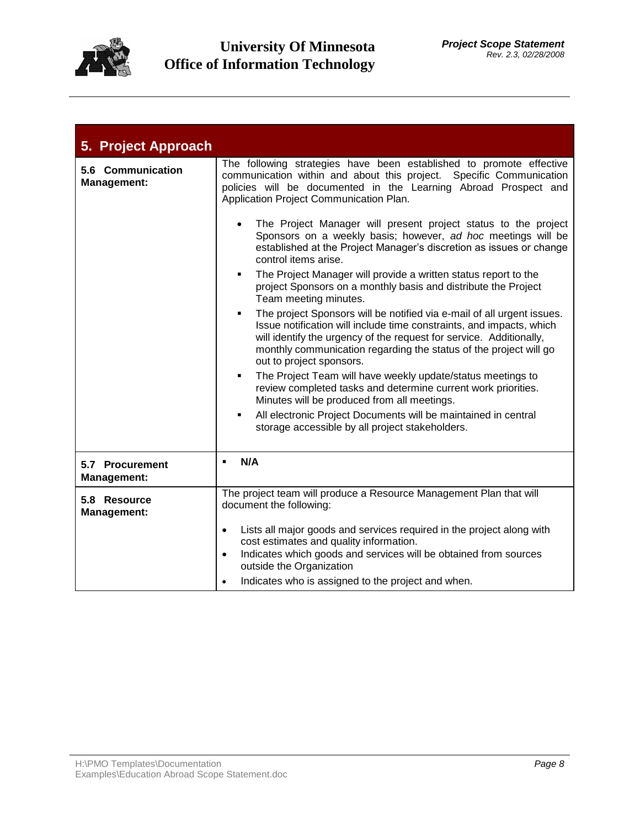

| 5. Project Approach                     |                                                                                                                                                                                                                                                                                                                                          |  |  |  |
|-----------------------------------------|------------------------------------------------------------------------------------------------------------------------------------------------------------------------------------------------------------------------------------------------------------------------------------------------------------------------------------------|--|--|--|
| 5.6 Communication<br><b>Management:</b> | The following strategies have been established to promote effective<br>communication within and about this project. Specific Communication<br>policies will be documented in the Learning Abroad Prospect and<br>Application Project Communication Plan.                                                                                 |  |  |  |
|                                         | The Project Manager will present project status to the project<br>$\bullet$<br>Sponsors on a weekly basis; however, ad hoc meetings will be<br>established at the Project Manager's discretion as issues or change<br>control items arise.                                                                                               |  |  |  |
|                                         | The Project Manager will provide a written status report to the<br>٠<br>project Sponsors on a monthly basis and distribute the Project<br>Team meeting minutes.                                                                                                                                                                          |  |  |  |
|                                         | The project Sponsors will be notified via e-mail of all urgent issues.<br>$\blacksquare$<br>Issue notification will include time constraints, and impacts, which<br>will identify the urgency of the request for service. Additionally,<br>monthly communication regarding the status of the project will go<br>out to project sponsors. |  |  |  |
|                                         | The Project Team will have weekly update/status meetings to<br>٠<br>review completed tasks and determine current work priorities.<br>Minutes will be produced from all meetings.                                                                                                                                                         |  |  |  |
|                                         | All electronic Project Documents will be maintained in central<br>٠<br>storage accessible by all project stakeholders.                                                                                                                                                                                                                   |  |  |  |
| 5.7 Procurement<br><b>Management:</b>   | N/A<br>$\blacksquare$                                                                                                                                                                                                                                                                                                                    |  |  |  |
| 5.8 Resource<br><b>Management:</b>      | The project team will produce a Resource Management Plan that will<br>document the following:                                                                                                                                                                                                                                            |  |  |  |
|                                         | Lists all major goods and services required in the project along with<br>$\bullet$<br>cost estimates and quality information.                                                                                                                                                                                                            |  |  |  |
|                                         | Indicates which goods and services will be obtained from sources<br>$\bullet$<br>outside the Organization                                                                                                                                                                                                                                |  |  |  |
|                                         | Indicates who is assigned to the project and when.<br>$\bullet$                                                                                                                                                                                                                                                                          |  |  |  |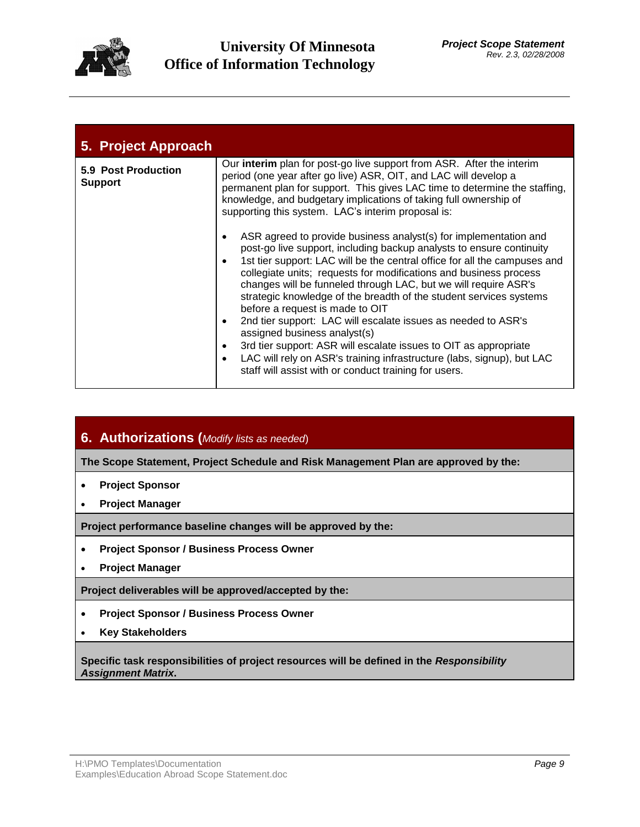

| 5. Project Approach                   |                                                                                                                                                                                                                                                                                                                                                                                                                                                                                                                                                                                                                                                                                                                                                                                                                                                               |
|---------------------------------------|---------------------------------------------------------------------------------------------------------------------------------------------------------------------------------------------------------------------------------------------------------------------------------------------------------------------------------------------------------------------------------------------------------------------------------------------------------------------------------------------------------------------------------------------------------------------------------------------------------------------------------------------------------------------------------------------------------------------------------------------------------------------------------------------------------------------------------------------------------------|
| 5.9 Post Production<br><b>Support</b> | Our <b>interim</b> plan for post-go live support from ASR. After the interim<br>period (one year after go live) ASR, OIT, and LAC will develop a<br>permanent plan for support. This gives LAC time to determine the staffing,<br>knowledge, and budgetary implications of taking full ownership of<br>supporting this system. LAC's interim proposal is:<br>ASR agreed to provide business analyst(s) for implementation and<br>$\bullet$<br>post-go live support, including backup analysts to ensure continuity<br>1st tier support: LAC will be the central office for all the campuses and<br>$\bullet$<br>collegiate units; requests for modifications and business process<br>changes will be funneled through LAC, but we will require ASR's<br>strategic knowledge of the breadth of the student services systems<br>before a request is made to OIT |
|                                       | 2nd tier support: LAC will escalate issues as needed to ASR's<br>$\bullet$<br>assigned business analyst(s)                                                                                                                                                                                                                                                                                                                                                                                                                                                                                                                                                                                                                                                                                                                                                    |
|                                       | 3rd tier support: ASR will escalate issues to OIT as appropriate<br>$\bullet$<br>LAC will rely on ASR's training infrastructure (labs, signup), but LAC<br>$\bullet$<br>staff will assist with or conduct training for users.                                                                                                                                                                                                                                                                                                                                                                                                                                                                                                                                                                                                                                 |

**6. Authorizations (***Modify lists as needed*)

**The Scope Statement, Project Schedule and Risk Management Plan are approved by the:** 

- **Project Sponsor**
- **Project Manager**

**Project performance baseline changes will be approved by the:**

- **Project Sponsor / Business Process Owner**
- **Project Manager**

**Project deliverables will be approved/accepted by the:**

- **Project Sponsor / Business Process Owner**
- **Key Stakeholders**

**Specific task responsibilities of project resources will be defined in the** *Responsibility Assignment Matrix***.**